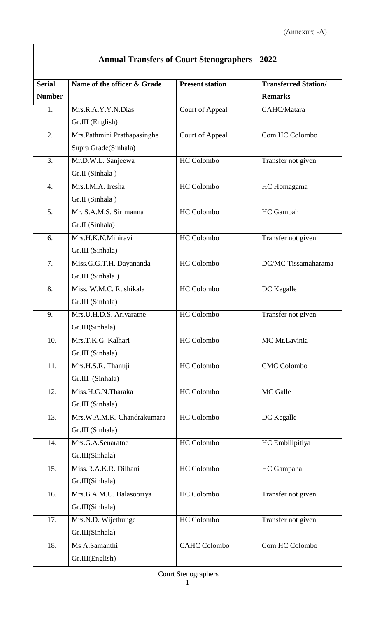$\overline{\phantom{a}}$ 

| <b>Annual Transfers of Court Stenographers - 2022</b> |                             |                        |                             |  |
|-------------------------------------------------------|-----------------------------|------------------------|-----------------------------|--|
| <b>Serial</b>                                         | Name of the officer & Grade | <b>Present station</b> | <b>Transferred Station/</b> |  |
| <b>Number</b>                                         |                             |                        | <b>Remarks</b>              |  |
| 1.                                                    | Mrs.R.A.Y.Y.N.Dias          | <b>Court of Appeal</b> | CAHC/Matara                 |  |
|                                                       | Gr.III (English)            |                        |                             |  |
| 2.                                                    | Mrs.Pathmini Prathapasinghe | <b>Court of Appeal</b> | Com.HC Colombo              |  |
|                                                       | Supra Grade(Sinhala)        |                        |                             |  |
| 3.                                                    | Mr.D.W.L. Sanjeewa          | HC Colombo             | Transfer not given          |  |
|                                                       | Gr.II (Sinhala)             |                        |                             |  |
| $\overline{4}$ .                                      | Mrs.I.M.A. Iresha           | <b>HC</b> Colombo      | HC Homagama                 |  |
|                                                       | Gr.II (Sinhala)             |                        |                             |  |
| 5.                                                    | Mr. S.A.M.S. Sirimanna      | <b>HC</b> Colombo      | HC Gampah                   |  |
|                                                       | Gr.II (Sinhala)             |                        |                             |  |
| 6.                                                    | Mrs.H.K.N.Mihiravi          | <b>HC</b> Colombo      | Transfer not given          |  |
|                                                       | Gr.III (Sinhala)            |                        |                             |  |
| 7.                                                    | Miss.G.G.T.H. Dayananda     | HC Colombo             | DC/MC Tissamaharama         |  |
|                                                       | Gr.III (Sinhala)            |                        |                             |  |
| 8.                                                    | Miss. W.M.C. Rushikala      | HC Colombo             | DC Kegalle                  |  |
|                                                       | Gr.III (Sinhala)            |                        |                             |  |
| 9.                                                    | Mrs.U.H.D.S. Ariyaratne     | HC Colombo             | Transfer not given          |  |
|                                                       | Gr.III(Sinhala)             |                        |                             |  |
| 10.                                                   | Mrs.T.K.G. Kalhari          | HC Colombo             | MC Mt.Lavinia               |  |
|                                                       | Gr.III (Sinhala)            |                        |                             |  |
| 11.                                                   | Mrs.H.S.R. Thanuji          | <b>HC</b> Colombo      | <b>CMC</b> Colombo          |  |
|                                                       | Gr.III (Sinhala)            |                        |                             |  |
| 12.                                                   | Miss.H.G.N.Tharaka          | HC Colombo             | MC Galle                    |  |
|                                                       | Gr.III (Sinhala)            |                        |                             |  |
| 13.                                                   | Mrs.W.A.M.K. Chandrakumara  | HC Colombo             | DC Kegalle                  |  |
|                                                       | Gr.III (Sinhala)            |                        |                             |  |
| 14.                                                   | Mrs.G.A.Senaratne           | HC Colombo             | HC Embilipitiya             |  |
|                                                       | Gr.III(Sinhala)             |                        |                             |  |
| 15.                                                   | Miss.R.A.K.R. Dilhani       | HC Colombo             | HC Gampaha                  |  |
|                                                       | Gr.III(Sinhala)             |                        |                             |  |
| 16.                                                   | Mrs.B.A.M.U. Balasooriya    | HC Colombo             | Transfer not given          |  |
|                                                       | Gr.III(Sinhala)             |                        |                             |  |
| 17.                                                   | Mrs.N.D. Wijethunge         | HC Colombo             | Transfer not given          |  |
|                                                       | Gr.III(Sinhala)             |                        |                             |  |
| 18.                                                   | Ms.A.Samanthi               | <b>CAHC Colombo</b>    | Com.HC Colombo              |  |
|                                                       | Gr.III(English)             |                        |                             |  |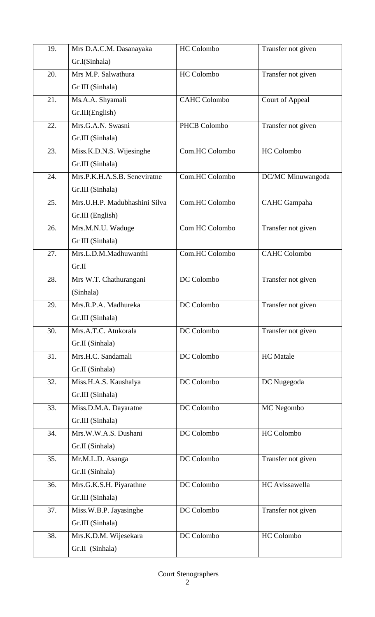| 19. | Mrs D.A.C.M. Dasanayaka       | HC Colombo          | Transfer not given  |
|-----|-------------------------------|---------------------|---------------------|
|     | Gr.I(Sinhala)                 |                     |                     |
| 20. | Mrs M.P. Salwathura           | HC Colombo          | Transfer not given  |
|     | Gr III (Sinhala)              |                     |                     |
| 21. | Ms.A.A. Shyamali              | <b>CAHC Colombo</b> | Court of Appeal     |
|     | Gr.III(English)               |                     |                     |
| 22. | Mrs.G.A.N. Swasni             | PHCB Colombo        | Transfer not given  |
|     | Gr.III (Sinhala)              |                     |                     |
| 23. | Miss.K.D.N.S. Wijesinghe      | Com.HC Colombo      | HC Colombo          |
|     | Gr.III (Sinhala)              |                     |                     |
| 24. | Mrs.P.K.H.A.S.B. Seneviratne  | Com.HC Colombo      | DC/MC Minuwangoda   |
|     | Gr.III (Sinhala)              |                     |                     |
| 25. | Mrs.U.H.P. Madubhashini Silva | Com.HC Colombo      | <b>CAHC</b> Gampaha |
|     | Gr.III (English)              |                     |                     |
| 26. | Mrs.M.N.U. Waduge             | Com HC Colombo      | Transfer not given  |
|     | Gr III (Sinhala)              |                     |                     |
| 27. | Mrs.L.D.M.Madhuwanthi         | Com.HC Colombo      | <b>CAHC Colombo</b> |
|     | Gr.II                         |                     |                     |
| 28. | Mrs W.T. Chathurangani        | DC Colombo          | Transfer not given  |
|     | (Sinhala)                     |                     |                     |
| 29. | Mrs.R.P.A. Madhureka          | DC Colombo          | Transfer not given  |
|     | Gr.III (Sinhala)              |                     |                     |
| 30. | Mrs.A.T.C. Atukorala          | DC Colombo          | Transfer not given  |
|     | Gr.II (Sinhala)               |                     |                     |
| 31. | Mrs.H.C. Sandamali            | DC Colombo          | <b>HC</b> Matale    |
|     | Gr.II (Sinhala)               |                     |                     |
| 32. | Miss.H.A.S. Kaushalya         | DC Colombo          | DC Nugegoda         |
|     | Gr.III (Sinhala)              |                     |                     |
| 33. | Miss.D.M.A. Dayaratne         | DC Colombo          | MC Negombo          |
|     | Gr.III (Sinhala)              |                     |                     |
| 34. | Mrs.W.W.A.S. Dushani          | DC Colombo          | HC Colombo          |
|     | Gr.II (Sinhala)               |                     |                     |
| 35. | Mr.M.L.D. Asanga              | DC Colombo          | Transfer not given  |
|     | Gr.II (Sinhala)               |                     |                     |
| 36. | Mrs.G.K.S.H. Piyarathne       | DC Colombo          | HC Avissawella      |
|     | Gr.III (Sinhala)              |                     |                     |
| 37. | Miss.W.B.P. Jayasinghe        | DC Colombo          | Transfer not given  |
|     | Gr.III (Sinhala)              |                     |                     |
| 38. | Mrs.K.D.M. Wijesekara         | DC Colombo          | HC Colombo          |
|     | Gr.II (Sinhala)               |                     |                     |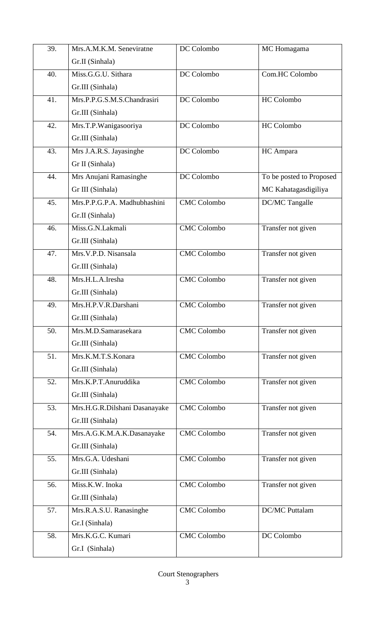| 39. | Mrs.A.M.K.M. Seneviratne                 | DC Colombo         | MC Homagama              |
|-----|------------------------------------------|--------------------|--------------------------|
|     | Gr.II (Sinhala)                          |                    |                          |
| 40. | $\overline{\text{Miss}}$ .G.G.U. Sithara | DC Colombo         | Com.HC Colombo           |
|     | Gr.III (Sinhala)                         |                    |                          |
| 41. | Mrs.P.P.G.S.M.S.Chandrasiri              | DC Colombo         | HC Colombo               |
|     | Gr.III (Sinhala)                         |                    |                          |
| 42. | Mrs.T.P.Wanigasooriya                    | DC Colombo         | HC Colombo               |
|     | Gr.III (Sinhala)                         |                    |                          |
| 43. | Mrs J.A.R.S. Jayasinghe                  | DC Colombo         | HC Ampara                |
|     | Gr II (Sinhala)                          |                    |                          |
| 44. | Mrs Anujani Ramasinghe                   | DC Colombo         | To be posted to Proposed |
|     | Gr III (Sinhala)                         |                    | MC Kahatagasdigiliya     |
| 45. | Mrs.P.P.G.P.A. Madhubhashini             | <b>CMC</b> Colombo | DC/MC Tangalle           |
|     | Gr.II (Sinhala)                          |                    |                          |
| 46. | Miss.G.N.Lakmali                         | <b>CMC</b> Colombo | Transfer not given       |
|     | Gr.III (Sinhala)                         |                    |                          |
| 47. | Mrs.V.P.D. Nisansala                     | <b>CMC</b> Colombo | Transfer not given       |
|     | Gr.III (Sinhala)                         |                    |                          |
| 48. | Mrs.H.L.A.Iresha                         | <b>CMC</b> Colombo | Transfer not given       |
|     | Gr.III (Sinhala)                         |                    |                          |
| 49. | Mrs.H.P.V.R.Darshani                     | <b>CMC</b> Colombo | Transfer not given       |
|     | Gr.III (Sinhala)                         |                    |                          |
| 50. | Mrs.M.D.Samarasekara                     | <b>CMC</b> Colombo | Transfer not given       |
|     | Gr.III (Sinhala)                         |                    |                          |
| 51. | Mrs.K.M.T.S.Konara                       | <b>CMC</b> Colombo | Transfer not given       |
|     | Gr.III (Sinhala)                         |                    |                          |
| 52. | Mrs.K.P.T.Anuruddika                     | <b>CMC</b> Colombo | Transfer not given       |
|     | Gr.III (Sinhala)                         |                    |                          |
| 53. | Mrs.H.G.R.Dilshani Dasanayake            | <b>CMC</b> Colombo | Transfer not given       |
|     | Gr.III (Sinhala)                         |                    |                          |
| 54. | Mrs.A.G.K.M.A.K.Dasanayake               | <b>CMC</b> Colombo | Transfer not given       |
|     | Gr.III (Sinhala)                         |                    |                          |
| 55. | Mrs.G.A. Udeshani                        | <b>CMC</b> Colombo | Transfer not given       |
|     | Gr.III (Sinhala)                         |                    |                          |
| 56. | Miss.K.W. Inoka                          | <b>CMC</b> Colombo | Transfer not given       |
|     | Gr.III (Sinhala)                         |                    |                          |
| 57. | Mrs.R.A.S.U. Ranasinghe                  | <b>CMC</b> Colombo | <b>DC/MC</b> Puttalam    |
|     | Gr.I (Sinhala)                           |                    |                          |
| 58. | Mrs.K.G.C. Kumari                        | <b>CMC</b> Colombo | DC Colombo               |
|     | Gr.I (Sinhala)                           |                    |                          |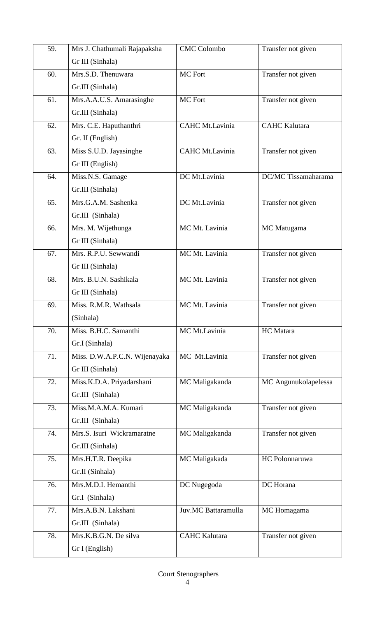| 59. | Mrs J. Chathumali Rajapaksha  | <b>CMC</b> Colombo   | Transfer not given   |
|-----|-------------------------------|----------------------|----------------------|
|     | Gr III (Sinhala)              |                      |                      |
| 60. | Mrs.S.D. Thenuwara            | MC Fort              | Transfer not given   |
|     | Gr.III (Sinhala)              |                      |                      |
| 61. | Mrs.A.A.U.S. Amarasinghe      | MC Fort              | Transfer not given   |
|     | Gr.III (Sinhala)              |                      |                      |
| 62. | Mrs. C.E. Haputhanthri        | CAHC Mt.Lavinia      | <b>CAHC Kalutara</b> |
|     | Gr. II (English)              |                      |                      |
| 63. | Miss S.U.D. Jayasinghe        | CAHC Mt.Lavinia      | Transfer not given   |
|     | Gr III (English)              |                      |                      |
| 64. | Miss.N.S. Gamage              | DC Mt.Lavinia        | DC/MC Tissamaharama  |
|     | Gr.III (Sinhala)              |                      |                      |
| 65. | Mrs.G.A.M. Sashenka           | DC Mt.Lavinia        | Transfer not given   |
|     | Gr.III (Sinhala)              |                      |                      |
| 66. | Mrs. M. Wijethunga            | MC Mt. Lavinia       | MC Matugama          |
|     | Gr III (Sinhala)              |                      |                      |
| 67. | Mrs. R.P.U. Sewwandi          | MC Mt. Lavinia       | Transfer not given   |
|     | Gr III (Sinhala)              |                      |                      |
| 68. | Mrs. B.U.N. Sashikala         | MC Mt. Lavinia       | Transfer not given   |
|     | Gr III (Sinhala)              |                      |                      |
| 69. | Miss. R.M.R. Wathsala         | MC Mt. Lavinia       | Transfer not given   |
|     | (Sinhala)                     |                      |                      |
| 70. | Miss. B.H.C. Samanthi         | MC Mt.Lavinia        | HC Matara            |
|     | Gr.I (Sinhala)                |                      |                      |
| 71. | Miss. D.W.A.P.C.N. Wijenayaka | MC Mt.Lavinia        | Transfer not given   |
|     | Gr III (Sinhala)              |                      |                      |
| 72. | Miss.K.D.A. Priyadarshani     | MC Maligakanda       | MC Angunukolapelessa |
|     | Gr.III (Sinhala)              |                      |                      |
| 73. | Miss.M.A.M.A. Kumari          | MC Maligakanda       | Transfer not given   |
|     | Gr.III (Sinhala)              |                      |                      |
| 74. | Mrs.S. Isuri Wickramaratne    | MC Maligakanda       | Transfer not given   |
|     | Gr.III (Sinhala)              |                      |                      |
| 75. | Mrs.H.T.R. Deepika            | MC Maligakada        | HC Polonnaruwa       |
|     | Gr.II (Sinhala)               |                      |                      |
| 76. | Mrs.M.D.I. Hemanthi           | DC Nugegoda          | DC Horana            |
|     | Gr.I (Sinhala)                |                      |                      |
| 77. | Mrs.A.B.N. Lakshani           | Juv.MC Battaramulla  | MC Homagama          |
|     | Gr.III (Sinhala)              |                      |                      |
| 78. | Mrs.K.B.G.N. De silva         | <b>CAHC Kalutara</b> | Transfer not given   |
|     | Gr I (English)                |                      |                      |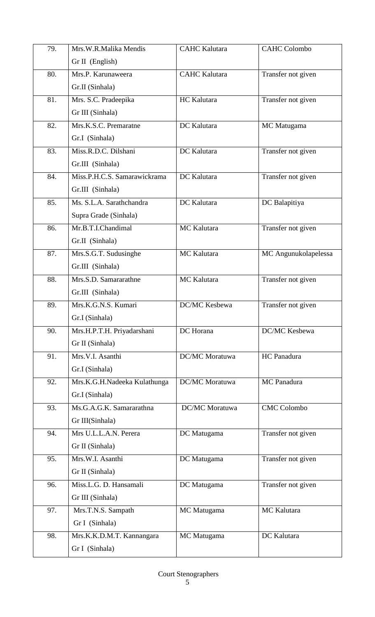| 79. | Mrs.W.R.Malika Mendis        | <b>CAHC</b> Kalutara  | <b>CAHC Colombo</b>  |
|-----|------------------------------|-----------------------|----------------------|
|     | Gr II (English)              |                       |                      |
| 80. | Mrs.P. Karunaweera           | <b>CAHC</b> Kalutara  | Transfer not given   |
|     | Gr.II (Sinhala)              |                       |                      |
| 81. | Mrs. S.C. Pradeepika         | HC Kalutara           | Transfer not given   |
|     | Gr III (Sinhala)             |                       |                      |
| 82. | Mrs.K.S.C. Premaratne        | DC Kalutara           | MC Matugama          |
|     | Gr.I (Sinhala)               |                       |                      |
| 83. | Miss.R.D.C. Dilshani         | DC Kalutara           | Transfer not given   |
|     | Gr.III (Sinhala)             |                       |                      |
| 84. | Miss.P.H.C.S. Samarawickrama | DC Kalutara           | Transfer not given   |
|     | Gr.III (Sinhala)             |                       |                      |
| 85. | Ms. S.L.A. Sarathchandra     | DC Kalutara           | DC Balapitiya        |
|     | Supra Grade (Sinhala)        |                       |                      |
| 86. | Mr.B.T.I.Chandimal           | MC Kalutara           | Transfer not given   |
|     | Gr.II (Sinhala)              |                       |                      |
| 87. | Mrs.S.G.T. Sudusinghe        | MC Kalutara           | MC Angunukolapelessa |
|     | Gr.III (Sinhala)             |                       |                      |
| 88. | Mrs.S.D. Samararathne        | MC Kalutara           | Transfer not given   |
|     | Gr.III (Sinhala)             |                       |                      |
| 89. | Mrs.K.G.N.S. Kumari          | DC/MC Kesbewa         | Transfer not given   |
|     | Gr.I (Sinhala)               |                       |                      |
| 90. | Mrs.H.P.T.H. Priyadarshani   | DC Horana             | DC/MC Kesbewa        |
|     | Gr II (Sinhala)              |                       |                      |
| 91. | Mrs.V.I. Asanthi             | <b>DC/MC</b> Moratuwa | HC Panadura          |
|     | Gr.I (Sinhala)               |                       |                      |
| 92. | Mrs.K.G.H.Nadeeka Kulathunga | DC/MC Moratuwa        | MC Panadura          |
|     | Gr.I (Sinhala)               |                       |                      |
| 93. | Ms.G.A.G.K. Samararathna     | <b>DC/MC</b> Moratuwa | <b>CMC Colombo</b>   |
|     | Gr III(Sinhala)              |                       |                      |
| 94. | Mrs U.L.L.A.N. Perera        | DC Matugama           | Transfer not given   |
|     | Gr II (Sinhala)              |                       |                      |
| 95. | Mrs.W.I. Asanthi             | DC Matugama           | Transfer not given   |
|     | Gr II (Sinhala)              |                       |                      |
| 96. | Miss.L.G. D. Hansamali       | DC Matugama           | Transfer not given   |
|     | Gr III (Sinhala)             |                       |                      |
| 97. | Mrs.T.N.S. Sampath           | MC Matugama           | MC Kalutara          |
|     | Gr I (Sinhala)               |                       |                      |
| 98. | Mrs.K.K.D.M.T. Kannangara    | MC Matugama           | DC Kalutara          |
|     | Gr I (Sinhala)               |                       |                      |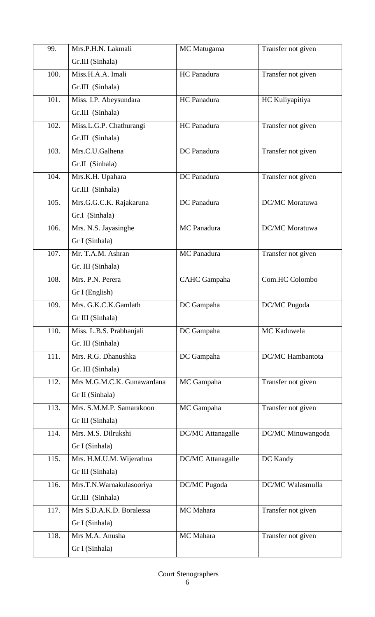| 99.  | Mrs.P.H.N. Lakmali         | MC Matugama         | Transfer not given |
|------|----------------------------|---------------------|--------------------|
|      | Gr.III (Sinhala)           |                     |                    |
| 100. | Miss.H.A.A. Imali          | HC Panadura         | Transfer not given |
|      | Gr.III (Sinhala)           |                     |                    |
| 101. | Miss. I.P. Abeysundara     | HC Panadura         | HC Kuliyapitiya    |
|      | Gr.III (Sinhala)           |                     |                    |
| 102. | Miss.L.G.P. Chathurangi    | HC Panadura         | Transfer not given |
|      | Gr.III (Sinhala)           |                     |                    |
| 103. | Mrs.C.U.Galhena            | DC Panadura         | Transfer not given |
|      | Gr.II (Sinhala)            |                     |                    |
| 104. | Mrs.K.H. Upahara           | DC Panadura         | Transfer not given |
|      | Gr.III (Sinhala)           |                     |                    |
| 105. | Mrs.G.G.C.K. Rajakaruna    | DC Panadura         | DC/MC Moratuwa     |
|      | Gr.I (Sinhala)             |                     |                    |
| 106. | Mrs. N.S. Jayasinghe       | MC Panadura         | DC/MC Moratuwa     |
|      | Gr I (Sinhala)             |                     |                    |
| 107. | Mr. T.A.M. Ashran          | MC Panadura         | Transfer not given |
|      | Gr. III (Sinhala)          |                     |                    |
| 108. | Mrs. P.N. Perera           | <b>CAHC</b> Gampaha | Com.HC Colombo     |
|      | Gr I (English)             |                     |                    |
| 109. | Mrs. G.K.C.K.Gamlath       | DC Gampaha          | DC/MC Pugoda       |
|      | Gr III (Sinhala)           |                     |                    |
| 110. | Miss. L.B.S. Prabhanjali   | DC Gampaha          | MC Kaduwela        |
|      | Gr. III (Sinhala)          |                     |                    |
| 111. | Mrs. R.G. Dhanushka        | DC Gampaha          | DC/MC Hambantota   |
|      | Gr. III (Sinhala)          |                     |                    |
| 112. | Mrs M.G.M.C.K. Gunawardana | MC Gampaha          | Transfer not given |
|      | Gr II (Sinhala)            |                     |                    |
| 113. | Mrs. S.M.M.P. Samarakoon   | MC Gampaha          | Transfer not given |
|      | Gr III (Sinhala)           |                     |                    |
| 114. | Mrs. M.S. Dilrukshi        | DC/MC Attanagalle   | DC/MC Minuwangoda  |
|      | Gr I (Sinhala)             |                     |                    |
| 115. | Mrs. H.M.U.M. Wijerathna   | DC/MC Attanagalle   | DC Kandy           |
|      | Gr III (Sinhala)           |                     |                    |
| 116. | Mrs.T.N.Warnakulasooriya   | DC/MC Pugoda        | DC/MC Walasmulla   |
|      |                            |                     |                    |
|      | Gr.III (Sinhala)           |                     |                    |
| 117. | Mrs S.D.A.K.D. Boralessa   | MC Mahara           | Transfer not given |
|      | Gr I (Sinhala)             |                     |                    |
| 118. | Mrs M.A. Anusha            | MC Mahara           | Transfer not given |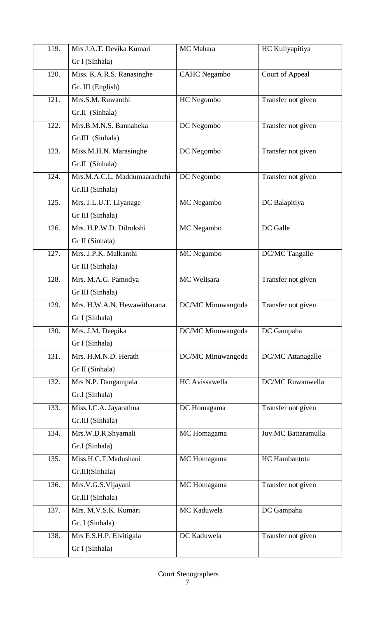| 119.               | Mrs J.A.T. Devika Kumari     | MC Mahara           | HC Kuliyapitiya     |
|--------------------|------------------------------|---------------------|---------------------|
|                    | Gr I (Sinhala)               |                     |                     |
| 120.               | Miss. K.A.R.S. Ranasinghe    | <b>CAHC</b> Negambo | Court of Appeal     |
|                    | Gr. III (English)            |                     |                     |
| 121.               | Mrs.S.M. Ruwanthi            | HC Negombo          | Transfer not given  |
|                    | Gr.II (Sinhala)              |                     |                     |
| 122.               | Mrs.B.M.N.S. Bannaheka       | DC Negombo          | Transfer not given  |
|                    | Gr.III (Sinhala)             |                     |                     |
| 123.               | Miss.M.H.N. Marasinghe       | DC Negombo          | Transfer not given  |
|                    | Gr.II (Sinhala)              |                     |                     |
| 124.               | Mrs.M.A.C.L. Maddumaarachchi | DC Negombo          | Transfer not given  |
|                    | Gr.III (Sinhala)             |                     |                     |
| 125.               | Mrs. J.L.U.T. Liyanage       | MC Negambo          | DC Balapitiya       |
|                    | Gr III (Sinhala)             |                     |                     |
| 126.               | Mrs. H.P.W.D. Dilrukshi      | MC Negambo          | DC Galle            |
|                    | Gr II (Sinhala)              |                     |                     |
| 127.               | Mrs. J.P.K. Malkanthi        | MC Negambo          | DC/MC Tangalle      |
|                    | Gr III (Sinhala)             |                     |                     |
| 128.               | Mrs. M.A.G. Pamodya          | MC Welisara         | Transfer not given  |
|                    | Gr III (Sinhala)             |                     |                     |
| 129.               | Mrs. H.W.A.N. Hewawitharana  | DC/MC Minuwangoda   | Transfer not given  |
|                    | Gr I (Sinhala)               |                     |                     |
| 130.               | Mrs. J.M. Deepika            | DC/MC Minuwangoda   | DC Gampaha          |
|                    | Gr I (Sinhala)               |                     |                     |
| $\overline{131}$ . | Mrs. H.M.N.D. Herath         | DC/MC Minuwangoda   | DC/MC Attanagalle   |
|                    | Gr II (Sinhala)              |                     |                     |
| 132.               | Mrs N.P. Dangampala          | HC Avissawella      | DC/MC Ruwanwella    |
|                    | Gr.I (Sinhala)               |                     |                     |
| 133.               | Miss.J.C.A. Jayarathna       | DC Homagama         | Transfer not given  |
|                    | Gr.III (Sinhala)             |                     |                     |
| 134.               | Mrs.W.D.R.Shyamali           | MC Homagama         | Juv.MC Battaramulla |
|                    | Gr.I (Sinhala)               |                     |                     |
| 135.               | Miss.H.C.T.Madushani         | MC Homagama         | HC Hambantota       |
|                    | Gr.III(Sinhala)              |                     |                     |
| 136.               | Mrs.V.G.S.Vijayani           | MC Homagama         | Transfer not given  |
|                    | Gr.III (Sinhala)             |                     |                     |
| 137.               | Mrs. M.V.S.K. Kumari         | MC Kaduwela         | DC Gampaha          |
|                    | Gr. I (Sinhala)              |                     |                     |
| 138.               | Mrs E.S.H.P. Elvitigala      | DC Kaduwela         | Transfer not given  |
|                    | Gr I (Sinhala)               |                     |                     |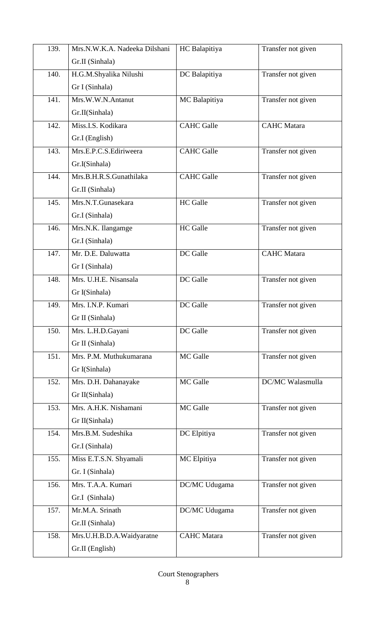| 139. | Mrs.N.W.K.A. Nadeeka Dilshani | HC Balapitiya      | Transfer not given |
|------|-------------------------------|--------------------|--------------------|
|      | Gr.II (Sinhala)               |                    |                    |
| 140. | H.G.M.Shyalika Nilushi        | DC Balapitiya      | Transfer not given |
|      | Gr I (Sinhala)                |                    |                    |
| 141. | Mrs.W.W.N.Antanut             | MC Balapitiya      | Transfer not given |
|      | Gr.II(Sinhala)                |                    |                    |
| 142. | Miss.I.S. Kodikara            | <b>CAHC</b> Galle  | <b>CAHC</b> Matara |
|      | Gr.I (English)                |                    |                    |
| 143. | Mrs.E.P.C.S.Ediriweera        | <b>CAHC</b> Galle  | Transfer not given |
|      | Gr.I(Sinhala)                 |                    |                    |
| 144. | Mrs.B.H.R.S.Gunathilaka       | <b>CAHC</b> Galle  | Transfer not given |
|      | Gr.II (Sinhala)               |                    |                    |
| 145. | Mrs.N.T.Gunasekara            | <b>HC</b> Galle    | Transfer not given |
|      | Gr.I (Sinhala)                |                    |                    |
| 146. | Mrs.N.K. Ilangamge            | <b>HC</b> Galle    | Transfer not given |
|      | Gr.I (Sinhala)                |                    |                    |
| 147. | Mr. D.E. Daluwatta            | DC Galle           | <b>CAHC</b> Matara |
|      | Gr I (Sinhala)                |                    |                    |
| 148. | Mrs. U.H.E. Nisansala         | DC Galle           | Transfer not given |
|      | Gr I(Sinhala)                 |                    |                    |
| 149. | Mrs. I.N.P. Kumari            | DC Galle           | Transfer not given |
|      | Gr II (Sinhala)               |                    |                    |
| 150. | Mrs. L.H.D.Gayani             | DC Galle           | Transfer not given |
|      | Gr II (Sinhala)               |                    |                    |
| 151. | Mrs. P.M. Muthukumarana       | MC Galle           | Transfer not given |
|      | Gr I(Sinhala)                 |                    |                    |
| 152. | Mrs. D.H. Dahanayake          | MC Galle           | DC/MC Walasmulla   |
|      | Gr II(Sinhala)                |                    |                    |
| 153. | Mrs. A.H.K. Nishamani         | MC Galle           | Transfer not given |
|      | Gr II(Sinhala)                |                    |                    |
| 154. | Mrs.B.M. Sudeshika            | DC Elpitiya        | Transfer not given |
|      | Gr.I (Sinhala)                |                    |                    |
| 155. | Miss E.T.S.N. Shyamali        | MC Elpitiya        | Transfer not given |
|      | Gr. I (Sinhala)               |                    |                    |
| 156. | Mrs. T.A.A. Kumari            | DC/MC Udugama      | Transfer not given |
|      | Gr.I (Sinhala)                |                    |                    |
| 157. | Mr.M.A. Srinath               | DC/MC Udugama      | Transfer not given |
|      | Gr.II (Sinhala)               |                    |                    |
| 158. | Mrs.U.H.B.D.A.Waidyaratne     | <b>CAHC</b> Matara | Transfer not given |
|      | Gr.II (English)               |                    |                    |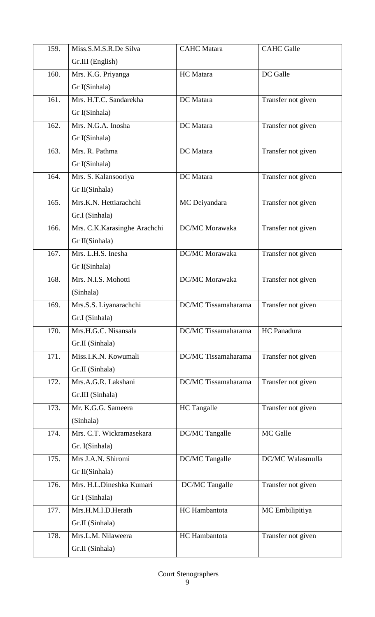| 159. | Miss.S.M.S.R.De Silva        | <b>CAHC</b> Matara  | <b>CAHC</b> Galle  |
|------|------------------------------|---------------------|--------------------|
|      | Gr.III (English)             |                     |                    |
| 160. | Mrs. K.G. Priyanga           | HC Matara           | DC Galle           |
|      | Gr I(Sinhala)                |                     |                    |
| 161. | Mrs. H.T.C. Sandarekha       | DC Matara           | Transfer not given |
|      | Gr I(Sinhala)                |                     |                    |
| 162. | Mrs. N.G.A. Inosha           | DC Matara           | Transfer not given |
|      | Gr I(Sinhala)                |                     |                    |
| 163. | Mrs. R. Pathma               | DC Matara           | Transfer not given |
|      | Gr I(Sinhala)                |                     |                    |
| 164. | Mrs. S. Kalansooriya         | DC Matara           | Transfer not given |
|      | Gr II(Sinhala)               |                     |                    |
| 165. | Mrs.K.N. Hettiarachchi       | MC Deiyandara       | Transfer not given |
|      | Gr.I (Sinhala)               |                     |                    |
| 166. | Mrs. C.K.Karasinghe Arachchi | DC/MC Morawaka      | Transfer not given |
|      | Gr II(Sinhala)               |                     |                    |
| 167. | Mrs. L.H.S. Inesha           | DC/MC Morawaka      | Transfer not given |
|      | Gr I(Sinhala)                |                     |                    |
| 168. | Mrs. N.I.S. Mohotti          | DC/MC Morawaka      | Transfer not given |
|      | (Sinhala)                    |                     |                    |
| 169. | Mrs.S.S. Liyanarachchi       | DC/MC Tissamaharama | Transfer not given |
|      | Gr.I (Sinhala)               |                     |                    |
| 170. | Mrs.H.G.C. Nisansala         | DC/MC Tissamaharama | HC Panadura        |
|      | Gr.II (Sinhala)              |                     |                    |
| 171. | Miss.I.K.N. Kowumali         | DC/MC Tissamaharama | Transfer not given |
|      | Gr.II (Sinhala)              |                     |                    |
| 172. | Mrs.A.G.R. Lakshani          | DC/MC Tissamaharama | Transfer not given |
|      | Gr.III (Sinhala)             |                     |                    |
| 173. | Mr. K.G.G. Sameera           | <b>HC</b> Tangalle  | Transfer not given |
|      | (Sinhala)                    |                     |                    |
| 174. | Mrs. C.T. Wickramasekara     | DC/MC Tangalle      | MC Galle           |
|      | Gr. I(Sinhala)               |                     |                    |
| 175. | Mrs J.A.N. Shiromi           | DC/MC Tangalle      | DC/MC Walasmulla   |
|      | Gr II(Sinhala)               |                     |                    |
| 176. | Mrs. H.L.Dineshka Kumari     | DC/MC Tangalle      | Transfer not given |
|      | Gr I (Sinhala)               |                     |                    |
| 177. | Mrs.H.M.I.D.Herath           | HC Hambantota       | MC Embilipitiya    |
|      | Gr.II (Sinhala)              |                     |                    |
| 178. | Mrs.L.M. Nilaweera           | HC Hambantota       | Transfer not given |
|      | Gr.II (Sinhala)              |                     |                    |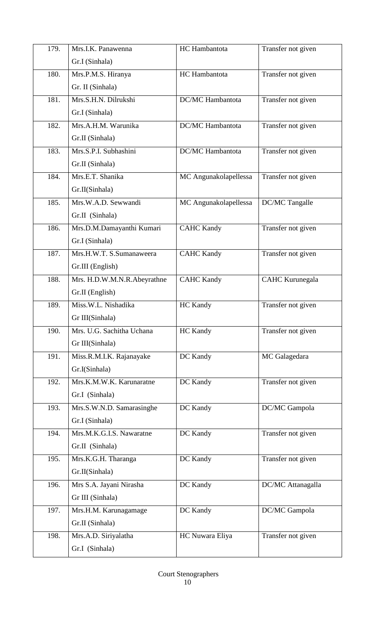| 179. | Mrs.I.K. Panawenna          | HC Hambantota           | Transfer not given |
|------|-----------------------------|-------------------------|--------------------|
|      | Gr.I (Sinhala)              |                         |                    |
| 180. | Mrs.P.M.S. Hiranya          | HC Hambantota           | Transfer not given |
|      | Gr. II (Sinhala)            |                         |                    |
| 181. | Mrs.S.H.N. Dilrukshi        | <b>DC/MC</b> Hambantota | Transfer not given |
|      | Gr.I (Sinhala)              |                         |                    |
| 182. | Mrs.A.H.M. Warunika         | <b>DC/MC</b> Hambantota | Transfer not given |
|      | Gr.II (Sinhala)             |                         |                    |
| 183. | Mrs.S.P.I. Subhashini       | <b>DC/MC</b> Hambantota | Transfer not given |
|      | Gr.II (Sinhala)             |                         |                    |
| 184. | Mrs.E.T. Shanika            | MC Angunakolapellessa   | Transfer not given |
|      | Gr.II(Sinhala)              |                         |                    |
| 185. | Mrs.W.A.D. Sewwandi         | MC Angunakolapellessa   | DC/MC Tangalle     |
|      | Gr.II (Sinhala)             |                         |                    |
| 186. | Mrs.D.M.Damayanthi Kumari   | <b>CAHC Kandy</b>       | Transfer not given |
|      | Gr.I (Sinhala)              |                         |                    |
| 187. | Mrs.H.W.T. S.Sumanaweera    | <b>CAHC Kandy</b>       | Transfer not given |
|      | Gr.III (English)            |                         |                    |
| 188. | Mrs. H.D.W.M.N.R.Abeyrathne | <b>CAHC Kandy</b>       | CAHC Kurunegala    |
|      | Gr.II (English)             |                         |                    |
| 189. | Miss.W.L. Nishadika         | HC Kandy                | Transfer not given |
|      | Gr III(Sinhala)             |                         |                    |
| 190. | Mrs. U.G. Sachitha Uchana   | <b>HC</b> Kandy         | Transfer not given |
|      | Gr III(Sinhala)             |                         |                    |
| 191. | Miss.R.M.I.K. Rajanayake    | DC Kandy                | MC Galagedara      |
|      | Gr.I(Sinhala)               |                         |                    |
| 192. | Mrs.K.M.W.K. Karunaratne    | DC Kandy                | Transfer not given |
|      | Gr.I (Sinhala)              |                         |                    |
| 193. | Mrs.S.W.N.D. Samarasinghe   | DC Kandy                | DC/MC Gampola      |
|      | Gr.I (Sinhala)              |                         |                    |
| 194. | Mrs.M.K.G.I.S. Nawaratne    | DC Kandy                | Transfer not given |
|      | Gr.II (Sinhala)             |                         |                    |
| 195. | Mrs.K.G.H. Tharanga         | DC Kandy                | Transfer not given |
|      | Gr.II(Sinhala)              |                         |                    |
| 196. | Mrs S.A. Jayani Nirasha     | DC Kandy                | DC/MC Attanagalla  |
|      | Gr III (Sinhala)            |                         |                    |
| 197. | Mrs.H.M. Karunagamage       | DC Kandy                | DC/MC Gampola      |
|      | Gr.II (Sinhala)             |                         |                    |
| 198. | Mrs.A.D. Siriyalatha        | HC Nuwara Eliya         | Transfer not given |
|      | Gr.I (Sinhala)              |                         |                    |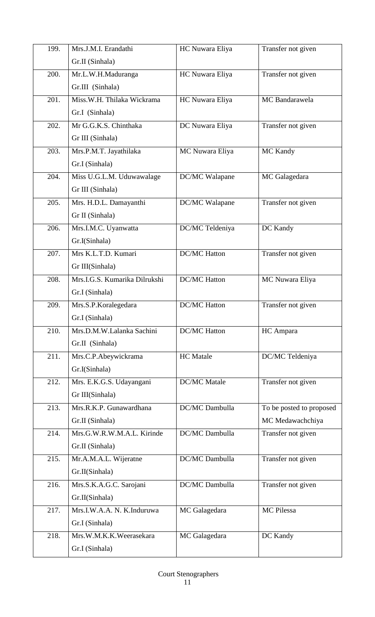| 199.               | Mrs.J.M.I. Erandathi          | HC Nuwara Eliya     | Transfer not given       |
|--------------------|-------------------------------|---------------------|--------------------------|
|                    | Gr.II (Sinhala)               |                     |                          |
| 200.               | Mr.L.W.H.Maduranga            | HC Nuwara Eliya     | Transfer not given       |
|                    | Gr.III (Sinhala)              |                     |                          |
| 201.               | Miss.W.H. Thilaka Wickrama    | HC Nuwara Eliya     | MC Bandarawela           |
|                    | Gr.I (Sinhala)                |                     |                          |
| 202.               | Mr G.G.K.S. Chinthaka         | DC Nuwara Eliya     | Transfer not given       |
|                    | Gr III (Sinhala)              |                     |                          |
| 203.               | Mrs.P.M.T. Jayathilaka        | MC Nuwara Eliya     | MC Kandy                 |
|                    | Gr.I (Sinhala)                |                     |                          |
| 204.               | Miss U.G.L.M. Uduwawalage     | DC/MC Walapane      | MC Galagedara            |
|                    | Gr III (Sinhala)              |                     |                          |
| 205.               | Mrs. H.D.L. Damayanthi        | DC/MC Walapane      | Transfer not given       |
|                    | Gr II (Sinhala)               |                     |                          |
| 206.               | Mrs.I.M.C. Uyanwatta          | DC/MC Teldeniya     | DC Kandy                 |
|                    | Gr.I(Sinhala)                 |                     |                          |
| $\overline{207}$ . | Mrs K.L.T.D. Kumari           | <b>DC/MC Hatton</b> | Transfer not given       |
|                    | Gr III(Sinhala)               |                     |                          |
| 208.               | Mrs.I.G.S. Kumarika Dilrukshi | <b>DC/MC Hatton</b> | MC Nuwara Eliya          |
|                    | Gr.I (Sinhala)                |                     |                          |
| 209.               | Mrs.S.P.Koralegedara          | <b>DC/MC</b> Hatton | Transfer not given       |
|                    | Gr.I (Sinhala)                |                     |                          |
| 210.               | Mrs.D.M.W.Lalanka Sachini     | <b>DC/MC</b> Hatton | HC Ampara                |
|                    | Gr.II (Sinhala)               |                     |                          |
| 211.               | Mrs.C.P.Abeywickrama          | <b>HC</b> Matale    | DC/MC Teldeniya          |
|                    | Gr.I(Sinhala)                 |                     |                          |
| 212.               | Mrs. E.K.G.S. Udayangani      | <b>DC/MC</b> Matale | Transfer not given       |
|                    | Gr III(Sinhala)               |                     |                          |
| 213.               | Mrs.R.K.P. Gunawardhana       | DC/MC Dambulla      | To be posted to proposed |
|                    | Gr.II (Sinhala)               |                     | MC Medawachchiya         |
| 214.               | Mrs.G.W.R.W.M.A.L. Kirinde    | DC/MC Dambulla      | Transfer not given       |
|                    | Gr.II (Sinhala)               |                     |                          |
| 215.               | Mr.A.M.A.L. Wijeratne         | DC/MC Dambulla      | Transfer not given       |
|                    | Gr.II(Sinhala)                |                     |                          |
| 216.               | Mrs.S.K.A.G.C. Sarojani       | DC/MC Dambulla      | Transfer not given       |
|                    | Gr.II(Sinhala)                |                     |                          |
| 217.               | Mrs.I.W.A.A. N. K.Induruwa    | MC Galagedara       | MC Pilessa               |
|                    | Gr.I (Sinhala)                |                     |                          |
| 218.               | Mrs.W.M.K.K.Weerasekara       | MC Galagedara       | DC Kandy                 |
|                    |                               |                     |                          |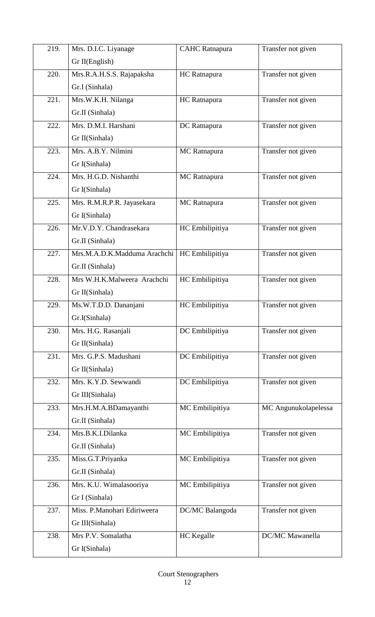| 219. | Mrs. D.I.C. Liyanage         | <b>CAHC</b> Ratnapura | Transfer not given     |
|------|------------------------------|-----------------------|------------------------|
|      | Gr II(English)               |                       |                        |
| 220. | Mrs.R.A.H.S.S. Rajapaksha    | HC Ratnapura          | Transfer not given     |
|      | Gr.I (Sinhala)               |                       |                        |
| 221. | Mrs.W.K.H. Nilanga           | HC Ratnapura          | Transfer not given     |
|      | Gr.II (Sinhala)              |                       |                        |
| 222. | Mrs. D.M.I. Harshani         | DC Ratnapura          | Transfer not given     |
|      | Gr II(Sinhala)               |                       |                        |
| 223. | Mrs. A.B.Y. Nilmini          | MC Ratnapura          | Transfer not given     |
|      | Gr I(Sinhala)                |                       |                        |
| 224. | Mrs. H.G.D. Nishanthi        | MC Ratnapura          | Transfer not given     |
|      | Gr I(Sinhala)                |                       |                        |
| 225. | Mrs. R.M.R.P.R. Jayasekara   | MC Ratnapura          | Transfer not given     |
|      | Gr I(Sinhala)                |                       |                        |
| 226. | Mr.V.D.Y. Chandrasekara      | HC Embilipitiya       | Transfer not given     |
|      | Gr.II (Sinhala)              |                       |                        |
| 227. | Mrs.M.A.D.K.Madduma Arachchi | HC Embilipitiya       | Transfer not given     |
|      | Gr.II (Sinhala)              |                       |                        |
| 228. | Mrs W.H.K.Malweera Arachchi  | HC Embilipitiya       | Transfer not given     |
|      | Gr II(Sinhala)               |                       |                        |
| 229. | Ms.W.T.D.D. Dananjani        | HC Embilipitiya       | Transfer not given     |
|      | Gr.I(Sinhala)                |                       |                        |
| 230. | Mrs. H.G. Rasanjali          | DC Embilipitiya       | Transfer not given     |
|      | Gr II(Sinhala)               |                       |                        |
| 231. | Mrs. G.P.S. Madushani        | DC Embilipitiya       | Transfer not given     |
|      | Gr II(Sinhala)               |                       |                        |
| 232. | Mrs. K.Y.D. Sewwandi         | DC Embilipitiya       | Transfer not given     |
|      | Gr III(Sinhala)              |                       |                        |
| 233. | Mrs.H.M.A.BDamayanthi        | MC Embilipitiya       | MC Angunukolapelessa   |
|      | Gr.II (Sinhala)              |                       |                        |
| 234. | Mrs.B.K.I.Dilanka            | MC Embilipitiya       | Transfer not given     |
|      | Gr.II (Sinhala)              |                       |                        |
| 235. | Miss.G.T.Priyanka            | MC Embilipitiya       | Transfer not given     |
|      | Gr.II (Sinhala)              |                       |                        |
| 236. | Mrs. K.U. Wimalasooriya      | MC Embilipitiya       | Transfer not given     |
|      | Gr I (Sinhala)               |                       |                        |
| 237. | Miss. P.Manohari Ediriweera  | DC/MC Balangoda       | Transfer not given     |
|      | Gr III(Sinhala)              |                       |                        |
| 238. | Mrs P.V. Somalatha           | <b>HC</b> Kegalle     | <b>DC/MC</b> Mawanella |
|      | Gr I(Sinhala)                |                       |                        |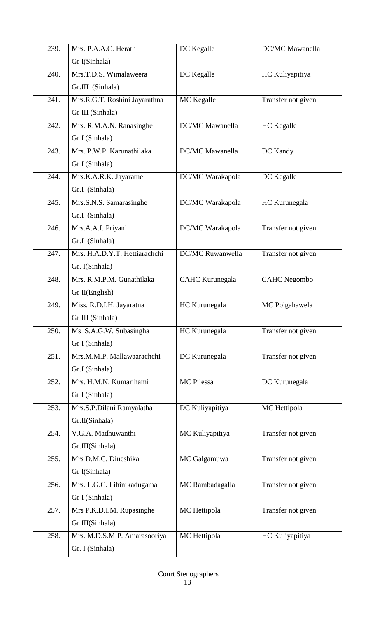| 239. | Mrs. P.A.A.C. Herath          | DC Kegalle              | <b>DC/MC</b> Mawanella |
|------|-------------------------------|-------------------------|------------------------|
|      | Gr I(Sinhala)                 |                         |                        |
| 240. | Mrs.T.D.S. Wimalaweera        | DC Kegalle              | HC Kuliyapitiya        |
|      | Gr.III (Sinhala)              |                         |                        |
| 241. | Mrs.R.G.T. Roshini Jayarathna | MC Kegalle              | Transfer not given     |
|      | Gr III (Sinhala)              |                         |                        |
| 242. | Mrs. R.M.A.N. Ranasinghe      | DC/MC Mawanella         | HC Kegalle             |
|      | Gr I (Sinhala)                |                         |                        |
| 243. | Mrs. P.W.P. Karunathilaka     | <b>DC/MC</b> Mawanella  | DC Kandy               |
|      | Gr I (Sinhala)                |                         |                        |
| 244. | Mrs.K.A.R.K. Jayaratne        | DC/MC Warakapola        | DC Kegalle             |
|      | Gr.I (Sinhala)                |                         |                        |
| 245. | Mrs.S.N.S. Samarasinghe       | DC/MC Warakapola        | HC Kurunegala          |
|      | Gr.I (Sinhala)                |                         |                        |
| 246. | Mrs.A.A.I. Priyani            | DC/MC Warakapola        | Transfer not given     |
|      | Gr.I (Sinhala)                |                         |                        |
| 247. | Mrs. H.A.D.Y.T. Hettiarachchi | <b>DC/MC Ruwanwella</b> | Transfer not given     |
|      | Gr. I(Sinhala)                |                         |                        |
| 248. | Mrs. R.M.P.M. Gunathilaka     | <b>CAHC Kurunegala</b>  | <b>CAHC</b> Negombo    |
|      | Gr II(English)                |                         |                        |
| 249. | Miss. R.D.I.H. Jayaratna      | HC Kurunegala           | MC Polgahawela         |
|      | Gr III (Sinhala)              |                         |                        |
| 250. | Ms. S.A.G.W. Subasingha       | HC Kurunegala           | Transfer not given     |
|      | Gr I (Sinhala)                |                         |                        |
| 251. | Mrs.M.M.P. Mallawaarachchi    | DC Kurunegala           | Transfer not given     |
|      | Gr.I (Sinhala)                |                         |                        |
| 252. | Mrs. H.M.N. Kumarihami        | MC Pilessa              | DC Kurunegala          |
|      | Gr I (Sinhala)                |                         |                        |
| 253. | Mrs.S.P.Dilani Ramyalatha     | DC Kuliyapitiya         | MC Hettipola           |
|      | Gr.II(Sinhala)                |                         |                        |
| 254. | V.G.A. Madhuwanthi            | MC Kuliyapitiya         | Transfer not given     |
|      | Gr.III(Sinhala)               |                         |                        |
| 255. | Mrs D.M.C. Dineshika          | MC Galgamuwa            | Transfer not given     |
|      | Gr I(Sinhala)                 |                         |                        |
| 256. | Mrs. L.G.C. Lihinikadugama    | MC Rambadagalla         | Transfer not given     |
|      | Gr I (Sinhala)                |                         |                        |
| 257. | Mrs P.K.D.I.M. Rupasinghe     | MC Hettipola            | Transfer not given     |
|      | Gr III(Sinhala)               |                         |                        |
| 258. | Mrs. M.D.S.M.P. Amarasooriya  | MC Hettipola            | HC Kuliyapitiya        |
|      | Gr. I (Sinhala)               |                         |                        |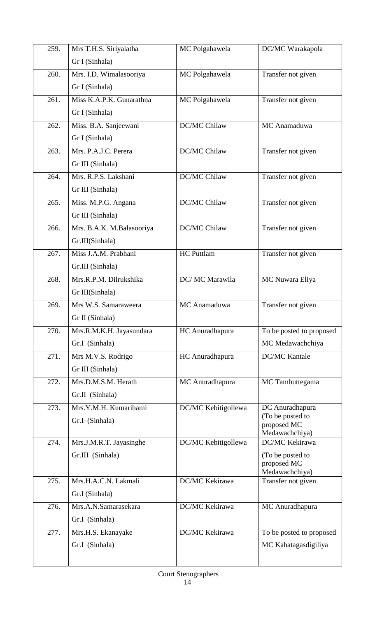| 259.               | Mrs T.H.S. Siriyalatha    | MC Polgahawela      | DC/MC Warakapola                     |
|--------------------|---------------------------|---------------------|--------------------------------------|
|                    | Gr I (Sinhala)            |                     |                                      |
| 260.               | Mrs. I.D. Wimalasooriya   | MC Polgahawela      | Transfer not given                   |
|                    | Gr I (Sinhala)            |                     |                                      |
| 261.               | Miss K.A.P.K. Gunarathna  | MC Polgahawela      | Transfer not given                   |
|                    | Gr I (Sinhala)            |                     |                                      |
| 262.               | Miss. B.A. Sanjeewani     | DC/MC Chilaw        | MC Anamaduwa                         |
|                    | Gr I (Sinhala)            |                     |                                      |
| $\overline{263}$ . | Mrs. P.A.J.C. Perera      | DC/MC Chilaw        | Transfer not given                   |
|                    | Gr III (Sinhala)          |                     |                                      |
| 264.               | Mrs. R.P.S. Lakshani      | DC/MC Chilaw        | Transfer not given                   |
|                    | Gr III (Sinhala)          |                     |                                      |
| 265.               | Miss. M.P.G. Angana       | DC/MC Chilaw        | Transfer not given                   |
|                    | Gr III (Sinhala)          |                     |                                      |
| 266.               | Mrs. B.A.K. M.Balasooriya | DC/MC Chilaw        | Transfer not given                   |
|                    | Gr.III(Sinhala)           |                     |                                      |
| $\overline{267}$ . | Miss J.A.M. Prabhani      | <b>HC</b> Puttlam   | Transfer not given                   |
|                    | Gr.III (Sinhala)          |                     |                                      |
| 268.               | Mrs.R.P.M. Dilrukshika    | DC/ MC Marawila     | MC Nuwara Eliya                      |
|                    | Gr III(Sinhala)           |                     |                                      |
| 269.               | Mrs W.S. Samaraweera      | MC Anamaduwa        | Transfer not given                   |
|                    | Gr II (Sinhala)           |                     |                                      |
| 270.               | Mrs.R.M.K.H. Jayasundara  | HC Anuradhapura     | To be posted to proposed             |
|                    | Gr.I (Sinhala)            |                     | MC Medawachchiya                     |
| 271.               | Mrs M.V.S. Rodrigo        | HC Anuradhapura     | <b>DC/MC Kantale</b>                 |
|                    | Gr III (Sinhala)          |                     |                                      |
| 272.               | Mrs.D.M.S.M. Herath       | MC Anuradhapura     | MC Tambuttegama                      |
|                    | Gr.II (Sinhala)           |                     |                                      |
| 273.               | Mrs.Y.M.H. Kumarihami     | DC/MC Kebitigollewa | DC Anuradhapura<br>(To be posted to  |
|                    | Gr.I (Sinhala)            |                     | proposed MC                          |
| 274.               | Mrs.J.M.R.T. Jayasinghe   | DC/MC Kebitigollewa | Medawachchiya)<br>DC/MC Kekirawa     |
|                    | Gr.III (Sinhala)          |                     | (To be posted to                     |
|                    |                           |                     | proposed MC                          |
| 275.               | Mrs.H.A.C.N. Lakmali      | DC/MC Kekirawa      | Medawachchiya)<br>Transfer not given |
|                    | Gr.I (Sinhala)            |                     |                                      |
| 276.               | Mrs.A.N.Samarasekara      | DC/MC Kekirawa      | MC Anuradhapura                      |
|                    | Gr.I (Sinhala)            |                     |                                      |
| 277.               | Mrs.H.S. Ekanayake        | DC/MC Kekirawa      | To be posted to proposed             |
|                    | Gr.I (Sinhala)            |                     | MC Kahatagasdigiliya                 |
|                    |                           |                     |                                      |
|                    |                           |                     |                                      |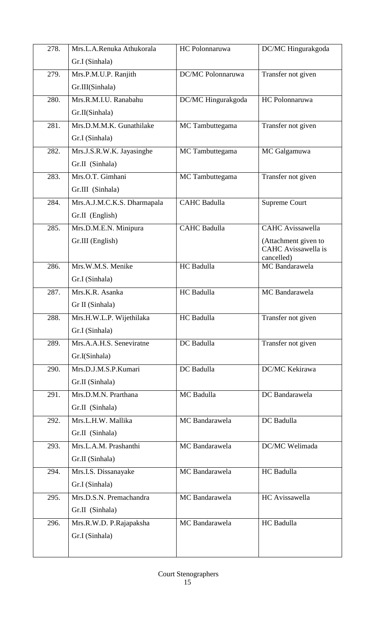| 278. | Mrs.L.A.Renuka Athukorala   | HC Polonnaruwa      | DC/MC Hingurakgoda                |
|------|-----------------------------|---------------------|-----------------------------------|
|      | Gr.I (Sinhala)              |                     |                                   |
| 279. | Mrs.P.M.U.P. Ranjith        | DC/MC Polonnaruwa   | Transfer not given                |
|      | Gr.III(Sinhala)             |                     |                                   |
| 280. | Mrs.R.M.I.U. Ranabahu       | DC/MC Hingurakgoda  | HC Polonnaruwa                    |
|      | Gr.II(Sinhala)              |                     |                                   |
| 281. | Mrs.D.M.M.K. Gunathilake    | MC Tambuttegama     | Transfer not given                |
|      | Gr.I (Sinhala)              |                     |                                   |
| 282. | Mrs.J.S.R.W.K. Jayasinghe   | MC Tambuttegama     | MC Galgamuwa                      |
|      | Gr.II (Sinhala)             |                     |                                   |
| 283. | Mrs.O.T. Gimhani            | MC Tambuttegama     | Transfer not given                |
|      | Gr.III (Sinhala)            |                     |                                   |
| 284. | Mrs.A.J.M.C.K.S. Dharmapala | <b>CAHC Badulla</b> | Supreme Court                     |
|      | Gr.II (English)             |                     |                                   |
| 285. | Mrs.D.M.E.N. Minipura       | <b>CAHC Badulla</b> | <b>CAHC</b> Avissawella           |
|      | Gr.III (English)            |                     | (Attachment given to              |
|      |                             |                     | CAHC Avissawella is<br>cancelled) |
| 286. | Mrs.W.M.S. Menike           | HC Badulla          | MC Bandarawela                    |
|      | Gr.I (Sinhala)              |                     |                                   |
| 287. | Mrs.K.R. Asanka             | HC Badulla          | MC Bandarawela                    |
|      | Gr II (Sinhala)             |                     |                                   |
| 288. | Mrs.H.W.L.P. Wijethilaka    | HC Badulla          | Transfer not given                |
|      | Gr.I (Sinhala)              |                     |                                   |
| 289. | Mrs.A.A.H.S. Seneviratne    | DC Badulla          | Transfer not given                |
|      | Gr.I(Sinhala)               |                     |                                   |
| 290. | Mrs.D.J.M.S.P.Kumari        | DC Badulla          | DC/MC Kekirawa                    |
|      | Gr.II (Sinhala)             |                     |                                   |
| 291. | Mrs.D.M.N. Prarthana        | MC Badulla          | DC Bandarawela                    |
|      | Gr.II (Sinhala)             |                     |                                   |
| 292. | Mrs.L.H.W. Mallika          | MC Bandarawela      | DC Badulla                        |
|      | Gr.II (Sinhala)             |                     |                                   |
| 293. | Mrs.L.A.M. Prashanthi       | MC Bandarawela      | DC/MC Welimada                    |
|      | Gr.II (Sinhala)             |                     |                                   |
| 294. | Mrs.I.S. Dissanayake        | MC Bandarawela      | HC Badulla                        |
|      | Gr.I (Sinhala)              |                     |                                   |
| 295. | Mrs.D.S.N. Premachandra     | MC Bandarawela      | HC Avissawella                    |
|      | Gr.II (Sinhala)             |                     |                                   |
| 296. | Mrs.R.W.D. P.Rajapaksha     | MC Bandarawela      | <b>HC</b> Badulla                 |
|      | Gr.I (Sinhala)              |                     |                                   |
|      |                             |                     |                                   |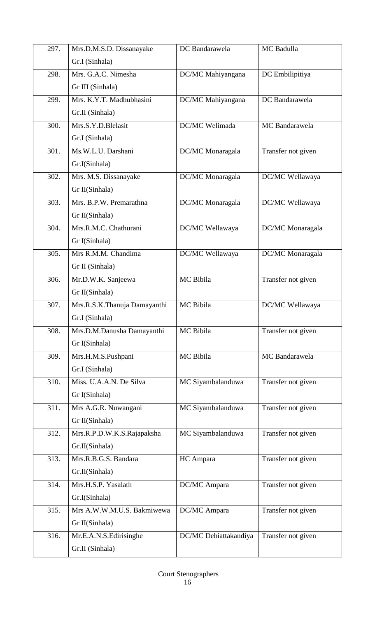| 297. | Mrs.D.M.S.D. Dissanayake     | DC Bandarawela        | MC Badulla         |
|------|------------------------------|-----------------------|--------------------|
|      | Gr.I (Sinhala)               |                       |                    |
| 298. | Mrs. G.A.C. Nimesha          | DC/MC Mahiyangana     | DC Embilipitiya    |
|      | Gr III (Sinhala)             |                       |                    |
| 299. | Mrs. K.Y.T. Madhubhasini     | DC/MC Mahiyangana     | DC Bandarawela     |
|      | Gr.II (Sinhala)              |                       |                    |
| 300. | Mrs.S.Y.D.Blelasit           | DC/MC Welimada        | MC Bandarawela     |
|      | Gr.I (Sinhala)               |                       |                    |
| 301. | Ms.W.L.U. Darshani           | DC/MC Monaragala      | Transfer not given |
|      | Gr.I(Sinhala)                |                       |                    |
| 302. | Mrs. M.S. Dissanayake        | DC/MC Monaragala      | DC/MC Wellawaya    |
|      | Gr II(Sinhala)               |                       |                    |
| 303. | Mrs. B.P.W. Premarathna      | DC/MC Monaragala      | DC/MC Wellawaya    |
|      | Gr II(Sinhala)               |                       |                    |
| 304. | Mrs.R.M.C. Chathurani        | DC/MC Wellawaya       | DC/MC Monaragala   |
|      | Gr I(Sinhala)                |                       |                    |
| 305. | Mrs R.M.M. Chandima          | DC/MC Wellawaya       | DC/MC Monaragala   |
|      | Gr II (Sinhala)              |                       |                    |
| 306. | Mr.D.W.K. Sanjeewa           | MC Bibila             | Transfer not given |
|      | Gr II(Sinhala)               |                       |                    |
| 307. | Mrs.R.S.K.Thanuja Damayanthi | MC Bibila             | DC/MC Wellawaya    |
|      | Gr.I (Sinhala)               |                       |                    |
| 308. | Mrs.D.M.Danusha Damayanthi   | MC Bibila             | Transfer not given |
|      | Gr I(Sinhala)                |                       |                    |
| 309. | Mrs.H.M.S.Pushpani           | MC Bibila             | MC Bandarawela     |
|      | Gr.I (Sinhala)               |                       |                    |
| 310. | Miss. U.A.A.N. De Silva      | MC Siyambalanduwa     | Transfer not given |
|      | Gr I(Sinhala)                |                       |                    |
| 311. | Mrs A.G.R. Nuwangani         | MC Siyambalanduwa     | Transfer not given |
|      | Gr II(Sinhala)               |                       |                    |
| 312. | Mrs.R.P.D.W.K.S.Rajapaksha   | MC Siyambalanduwa     | Transfer not given |
|      | Gr.II(Sinhala)               |                       |                    |
| 313. | Mrs.R.B.G.S. Bandara         | HC Ampara             | Transfer not given |
|      | Gr.II(Sinhala)               |                       |                    |
| 314. | Mrs.H.S.P. Yasalath          | DC/MC Ampara          | Transfer not given |
|      | Gr.I(Sinhala)                |                       |                    |
| 315. | Mrs A.W.W.M.U.S. Bakmiwewa   | DC/MC Ampara          | Transfer not given |
|      | Gr II(Sinhala)               |                       |                    |
| 316. | Mr.E.A.N.S.Edirisinghe       | DC/MC Dehiattakandiya | Transfer not given |
|      | Gr.II (Sinhala)              |                       |                    |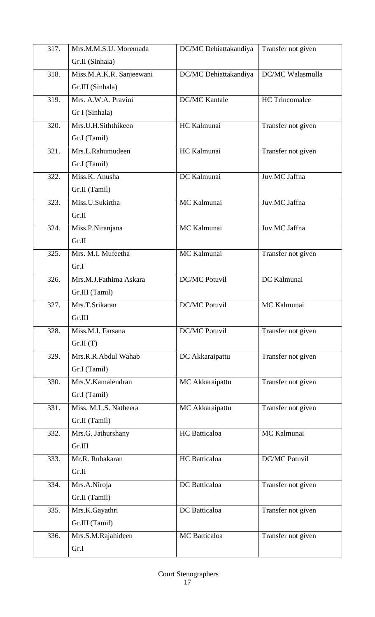| 317. | Mrs.M.M.S.U. Moremada    | DC/MC Dehiattakandiya | Transfer not given    |
|------|--------------------------|-----------------------|-----------------------|
|      | Gr.II (Sinhala)          |                       |                       |
| 318. | Miss.M.A.K.R. Sanjeewani | DC/MC Dehiattakandiya | DC/MC Walasmulla      |
|      | Gr.III (Sinhala)         |                       |                       |
| 319. | Mrs. A.W.A. Pravini      | <b>DC/MC Kantale</b>  | <b>HC</b> Trincomalee |
|      | Gr I (Sinhala)           |                       |                       |
| 320. | Mrs.U.H.Siththikeen      | HC Kalmunai           | Transfer not given    |
|      | Gr.I (Tamil)             |                       |                       |
| 321. | Mrs.L.Rahumudeen         | HC Kalmunai           | Transfer not given    |
|      | Gr.I (Tamil)             |                       |                       |
| 322. | Miss.K. Anusha           | DC Kalmunai           | Juv.MC Jaffna         |
|      | Gr.II (Tamil)            |                       |                       |
| 323. | Miss.U.Sukirtha          | MC Kalmunai           | Juv.MC Jaffna         |
|      | Gr.II                    |                       |                       |
| 324. | Miss.P.Niranjana         | MC Kalmunai           | Juv.MC Jaffna         |
|      | Gr.II                    |                       |                       |
| 325. | Mrs. M.I. Mufeetha       | MC Kalmunai           | Transfer not given    |
|      | Gr.I                     |                       |                       |
| 326. | Mrs.M.J.Fathima Askara   | <b>DC/MC Potuvil</b>  | DC Kalmunai           |
|      | Gr.III (Tamil)           |                       |                       |
| 327. | Mrs.T.Srikaran           | <b>DC/MC Potuvil</b>  | MC Kalmunai           |
|      | Gr.III                   |                       |                       |
| 328. | Miss.M.I. Farsana        | <b>DC/MC Potuvil</b>  | Transfer not given    |
|      | Gr.II(T)                 |                       |                       |
| 329. | Mrs.R.R.Abdul Wahab      | DC Akkaraipattu       | Transfer not given    |
|      | Gr.I (Tamil)             |                       |                       |
| 330. | Mrs.V.Kamalendran        | MC Akkaraipattu       | Transfer not given    |
|      | Gr.I (Tamil)             |                       |                       |
| 331. | Miss. M.L.S. Natheera    | MC Akkaraipattu       | Transfer not given    |
|      | Gr.II (Tamil)            |                       |                       |
| 332. | Mrs.G. Jathurshany       | HC Batticaloa         | MC Kalmunai           |
|      | Gr.III                   |                       |                       |
| 333. | Mr.R. Rubakaran          | HC Batticaloa         | <b>DC/MC Potuvil</b>  |
|      | Gr.II                    |                       |                       |
| 334. | Mrs.A.Niroja             | DC Batticaloa         | Transfer not given    |
|      | Gr.II (Tamil)            |                       |                       |
| 335. | Mrs.K.Gayathri           | DC Batticaloa         | Transfer not given    |
|      | Gr.III (Tamil)           |                       |                       |
| 336. | Mrs.S.M.Rajahideen       | MC Batticaloa         | Transfer not given    |
|      | Gr.I                     |                       |                       |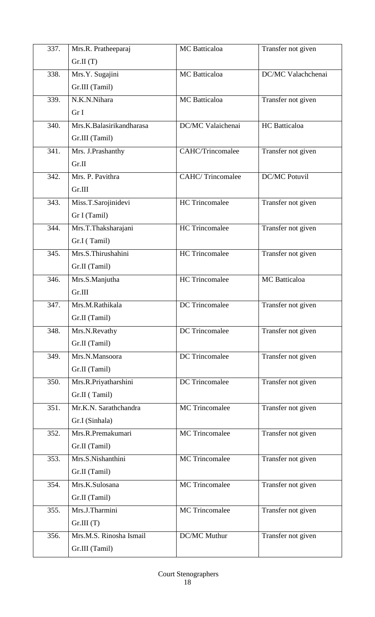| 337. | Mrs.R. Pratheeparaj      | MC Batticaloa           | Transfer not given   |
|------|--------------------------|-------------------------|----------------------|
|      | Gr.II(T)                 |                         |                      |
| 338. | Mrs.Y. Sugajini          | MC Batticaloa           | DC/MC Valachchenai   |
|      | Gr.III (Tamil)           |                         |                      |
| 339. | N.K.N.Nihara             | MC Batticaloa           | Transfer not given   |
|      | Gr I                     |                         |                      |
| 340. | Mrs.K.Balasirikandharasa | DC/MC Valaichenai       | HC Batticaloa        |
|      | Gr.III (Tamil)           |                         |                      |
| 341. | Mrs. J.Prashanthy        | <b>CAHC/Trincomalee</b> | Transfer not given   |
|      | Gr.II                    |                         |                      |
| 342. | Mrs. P. Pavithra         | <b>CAHC/Trincomalee</b> | <b>DC/MC Potuvil</b> |
|      | Gr.III                   |                         |                      |
| 343. | Miss.T.Sarojinidevi      | <b>HC</b> Trincomalee   | Transfer not given   |
|      | Gr I (Tamil)             |                         |                      |
| 344. | Mrs.T.Thaksharajani      | <b>HC</b> Trincomalee   | Transfer not given   |
|      | Gr.I (Tamil)             |                         |                      |
| 345. | Mrs.S.Thirushahini       | <b>HC</b> Trincomalee   | Transfer not given   |
|      | Gr.II (Tamil)            |                         |                      |
| 346. | Mrs.S.Manjutha           | <b>HC</b> Trincomalee   | MC Batticaloa        |
|      | Gr.III                   |                         |                      |
| 347. | Mrs.M.Rathikala          | DC Trincomalee          | Transfer not given   |
|      | Gr.II (Tamil)            |                         |                      |
| 348. | Mrs.N.Revathy            | DC Trincomalee          | Transfer not given   |
|      | Gr.II (Tamil)            |                         |                      |
| 349. | Mrs.N.Mansoora           | <b>DC</b> Trincomalee   | Transfer not given   |
|      | Gr.II (Tamil)            |                         |                      |
| 350. | Mrs.R.Priyatharshini     | DC Trincomalee          | Transfer not given   |
|      | Gr.II (Tamil)            |                         |                      |
| 351. | Mr.K.N. Sarathchandra    | <b>MC</b> Trincomalee   | Transfer not given   |
|      | Gr.I (Sinhala)           |                         |                      |
| 352. | Mrs.R.Premakumari        | <b>MC</b> Trincomalee   | Transfer not given   |
|      | Gr.II (Tamil)            |                         |                      |
| 353. | Mrs.S.Nishanthini        | MC Trincomalee          | Transfer not given   |
|      | Gr.II (Tamil)            |                         |                      |
| 354. | Mrs.K.Sulosana           | MC Trincomalee          | Transfer not given   |
|      | Gr.II (Tamil)            |                         |                      |
| 355. | Mrs.J.Tharmini           | MC Trincomalee          | Transfer not given   |
|      | Gr.III(T)                |                         |                      |
| 356. | Mrs.M.S. Rinosha Ismail  | DC/MC Muthur            | Transfer not given   |
|      | Gr.III (Tamil)           |                         |                      |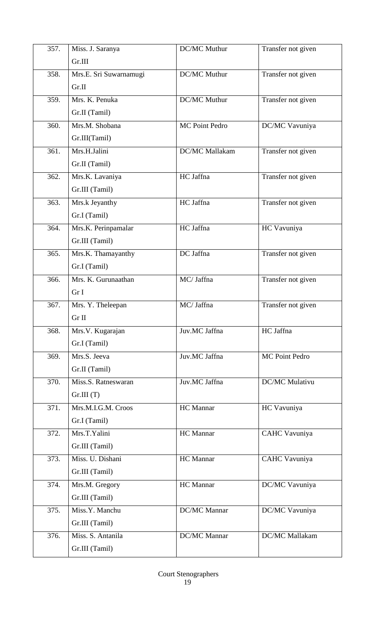| 357.               | Miss. J. Saranya                   | <b>DC/MC Muthur</b> | Transfer not given    |
|--------------------|------------------------------------|---------------------|-----------------------|
|                    | Gr.III                             |                     |                       |
| 358.               | Mrs.E. Sri Suwarnamugi             | DC/MC Muthur        | Transfer not given    |
|                    | Gr.II                              |                     |                       |
| 359.               | Mrs. K. Penuka                     | DC/MC Muthur        | Transfer not given    |
|                    | Gr.II (Tamil)                      |                     |                       |
| 360.               | Mrs.M. Shobana                     | MC Point Pedro      | DC/MC Vavuniya        |
|                    | Gr.III(Tamil)                      |                     |                       |
| $\overline{361}$ . | Mrs.H.Jalini                       | DC/MC Mallakam      | Transfer not given    |
|                    | Gr.II (Tamil)                      |                     |                       |
| 362.               | Mrs.K. Lavaniya                    | HC Jaffna           | Transfer not given    |
|                    | Gr.III (Tamil)                     |                     |                       |
| 363.               | Mrs.k Jeyanthy                     | HC Jaffna           | Transfer not given    |
|                    | Gr.I (Tamil)                       |                     |                       |
| 364.               | Mrs.K. Perinpamalar                | HC Jaffna           | HC Vavuniya           |
|                    | Gr.III (Tamil)                     |                     |                       |
| $\overline{365}$ . | Mrs.K. Thamayanthy                 | DC Jaffna           | Transfer not given    |
|                    | Gr.I (Tamil)                       |                     |                       |
| 366.               | Mrs. K. Gurunaathan                | MC/ Jaffna          | Transfer not given    |
|                    | Gr I                               |                     |                       |
| 367.               | Mrs. Y. Theleepan                  | MC/ Jaffna          | Transfer not given    |
|                    | Gr II                              |                     |                       |
| 368.               | Mrs.V. Kugarajan                   | Juv.MC Jaffna       | HC Jaffna             |
|                    | Gr.I (Tamil)                       |                     |                       |
| 369.               | Mrs.S. Jeeva                       | Juv.MC Jaffna       | <b>MC Point Pedro</b> |
|                    | Gr.II (Tamil)                      |                     |                       |
| 370.               | Miss.S. Ratneswaran                | Juv.MC Jaffna       | DC/MC Mulativu        |
|                    | Gr.III(T)                          |                     |                       |
| 371.               | Mrs.M.I.G.M. Croos                 | HC Mannar           | HC Vavuniya           |
|                    | Gr.I (Tamil)                       |                     |                       |
| 372.               | Mrs.T.Yalini                       | HC Mannar           | CAHC Vavuniya         |
| 373.               | Gr.III (Tamil)<br>Miss. U. Dishani | HC Mannar           | CAHC Vavuniya         |
|                    |                                    |                     |                       |
| 374.               | Gr.III (Tamil)<br>Mrs.M. Gregory   | HC Mannar           | DC/MC Vavuniya        |
|                    | Gr.III (Tamil)                     |                     |                       |
| 375.               | Miss.Y. Manchu                     | DC/MC Mannar        | DC/MC Vavuniya        |
|                    | Gr.III (Tamil)                     |                     |                       |
| 376.               | Miss. S. Antanila                  | DC/MC Mannar        | DC/MC Mallakam        |
|                    | Gr.III (Tamil)                     |                     |                       |
|                    |                                    |                     |                       |